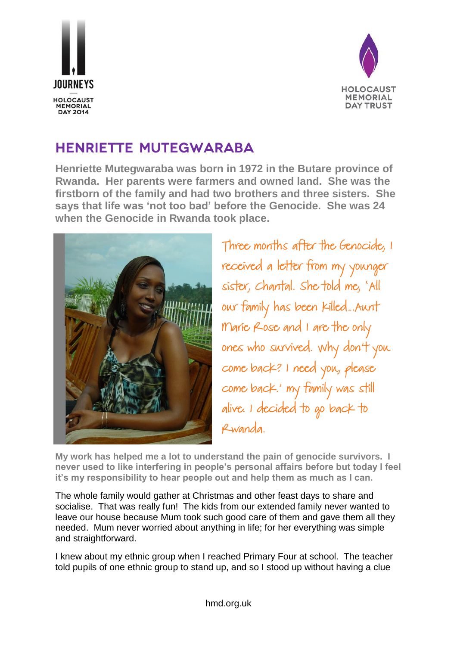



## **Henriette Mutegwaraba**

**Henriette Mutegwaraba was born in 1972 in the Butare province of Rwanda. Her parents were farmers and owned land. She was the firstborn of the family and had two brothers and three sisters. She says that life was 'not too bad' before the Genocide. She was 24 when the Genocide in Rwanda took place.**



Three months after the Genocide, I received a letter from my younger sister, Chantal. She told me, 'All our family has been killed…Aunt Marie Rose and I are the only ones who survived. Why don't you come back? I need you, please come back.' my family was still alive. I decided to go back to Rwanda.

**My work has helped me a lot to understand the pain of genocide survivors. I never used to like interfering in people's personal affairs before but today I feel it's my responsibility to hear people out and help them as much as I can.** 

The whole family would gather at Christmas and other feast days to share and socialise. That was really fun! The kids from our extended family never wanted to leave our house because Mum took such good care of them and gave them all they needed. Mum never worried about anything in life; for her everything was simple and straightforward.

I knew about my ethnic group when I reached Primary Four at school. The teacher told pupils of one ethnic group to stand up, and so I stood up without having a clue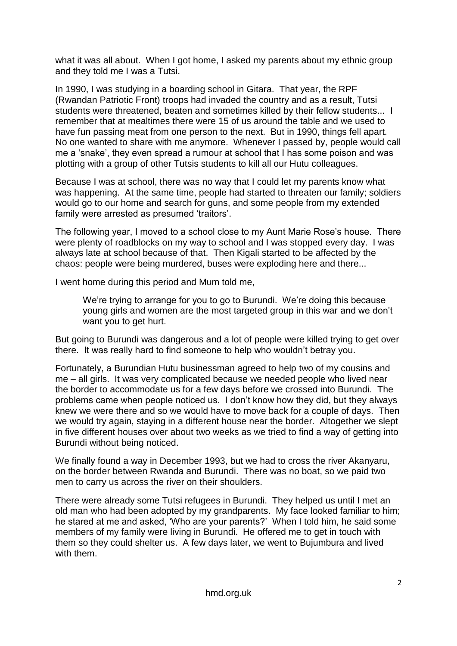what it was all about. When I got home, I asked my parents about my ethnic group and they told me I was a Tutsi.

In 1990, I was studying in a boarding school in Gitara. That year, the RPF (Rwandan Patriotic Front) troops had invaded the country and as a result, Tutsi students were threatened, beaten and sometimes killed by their fellow students... I remember that at mealtimes there were 15 of us around the table and we used to have fun passing meat from one person to the next. But in 1990, things fell apart. No one wanted to share with me anymore. Whenever I passed by, people would call me a 'snake', they even spread a rumour at school that I has some poison and was plotting with a group of other Tutsis students to kill all our Hutu colleagues.

Because I was at school, there was no way that I could let my parents know what was happening. At the same time, people had started to threaten our family; soldiers would go to our home and search for guns, and some people from my extended family were arrested as presumed 'traitors'.

The following year, I moved to a school close to my Aunt Marie Rose's house. There were plenty of roadblocks on my way to school and I was stopped every day. I was always late at school because of that. Then Kigali started to be affected by the chaos: people were being murdered, buses were exploding here and there...

I went home during this period and Mum told me,

We're trying to arrange for you to go to Burundi. We're doing this because young girls and women are the most targeted group in this war and we don't want you to get hurt.

But going to Burundi was dangerous and a lot of people were killed trying to get over there. It was really hard to find someone to help who wouldn't betray you.

Fortunately, a Burundian Hutu businessman agreed to help two of my cousins and me – all girls. It was very complicated because we needed people who lived near the border to accommodate us for a few days before we crossed into Burundi. The problems came when people noticed us. I don't know how they did, but they always knew we were there and so we would have to move back for a couple of days. Then we would try again, staying in a different house near the border. Altogether we slept in five different houses over about two weeks as we tried to find a way of getting into Burundi without being noticed.

We finally found a way in December 1993, but we had to cross the river Akanyaru, on the border between Rwanda and Burundi. There was no boat, so we paid two men to carry us across the river on their shoulders.

There were already some Tutsi refugees in Burundi. They helped us until I met an old man who had been adopted by my grandparents. My face looked familiar to him; he stared at me and asked, 'Who are your parents?' When I told him, he said some members of my family were living in Burundi. He offered me to get in touch with them so they could shelter us. A few days later, we went to Bujumbura and lived with them.